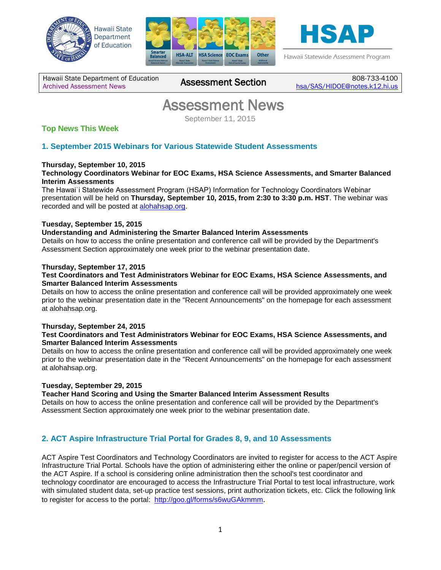





Hawaii Statewide Assessment Program

Hawaii State Department of Education Hawaii State Department of Education 808-733-4100<br>[Archived Assessment News](http://alohahsap.org/SMARTERBALANCED/resources/?section=5) **Assessment Section** <sub>[hsa/SAS/HIDOE@notes.k12.hi.us](mailto:hsa/SAS/HIDOE@notes.k12.hi.us)</sub>

## **Assessment News**<br>September 11, 2015

## **Top News This Week**

## **1. September 2015 Webinars for Various Statewide Student Assessments**

## **Thursday, September 10, 2015**

**Technology Coordinators Webinar for EOC Exams, HSA Science Assessments, and Smarter Balanced Interim Assessments**

The Hawaiʿi Statewide Assessment Program (HSAP) Information for Technology Coordinators Webinar presentation will be held on **Thursday, September 10, 2015, from 2:30 to 3:30 p.m. HST**. The webinar was recorded and will be posted at [alohahsap.org.](http://www.alohahsap.org/)

## **Tuesday, September 15, 2015**

### **Understanding and Administering the Smarter Balanced Interim Assessments**

Details on how to access the online presentation and conference call will be provided by the Department's Assessment Section approximately one week prior to the webinar presentation date.

### **Thursday, September 17, 2015**

#### **Test Coordinators and Test Administrators Webinar for EOC Exams, HSA Science Assessments, and Smarter Balanced Interim Assessments**

Details on how to access the online presentation and conference call will be provided approximately one week prior to the webinar presentation date in the "Recent Announcements" on the homepage for each assessment at alohahsap.org.

#### **Thursday, September 24, 2015**

### **Test Coordinators and Test Administrators Webinar for EOC Exams, HSA Science Assessments, and Smarter Balanced Interim Assessments**

Details on how to access the online presentation and conference call will be provided approximately one week prior to the webinar presentation date in the "Recent Announcements" on the homepage for each assessment at alohahsap.org.

#### **Tuesday, September 29, 2015**

#### **Teacher Hand Scoring and Using the Smarter Balanced Interim Assessment Results**

Details on how to access the online presentation and conference call will be provided by the Department's Assessment Section approximately one week prior to the webinar presentation date.

## **2. ACT Aspire Infrastructure Trial Portal for Grades 8, 9, and 10 Assessments**

ACT Aspire Test Coordinators and Technology Coordinators are invited to register for access to the ACT Aspire Infrastructure Trial Portal. Schools have the option of administering either the online or paper/pencil version of the ACT Aspire. If a school is considering online administration then the school's test coordinator and technology coordinator are encouraged to access the Infrastructure Trial Portal to test local infrastructure, work with simulated student data, set-up practice test sessions, print authorization tickets, etc. Click the following link to register for access to the portal: <http://goo.gl/forms/s6wuGAkmmm>.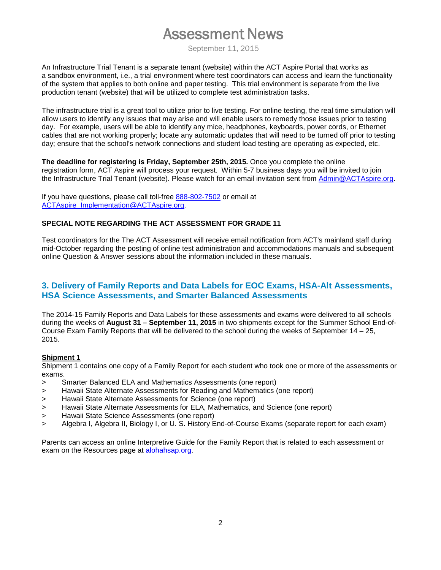## **Assessment News**<br>September 11, 2015

An Infrastructure Trial Tenant is a separate tenant (website) within the ACT Aspire Portal that works as a sandbox environment, i.e., a trial environment where test coordinators can access and learn the functionality of the system that applies to both online and paper testing. This trial environment is separate from the live production tenant (website) that will be utilized to complete test administration tasks.

The infrastructure trial is a great tool to utilize prior to live testing. For online testing, the real time simulation will allow users to identify any issues that may arise and will enable users to remedy those issues prior to testing day. For example, users will be able to identify any mice, headphones, keyboards, power cords, or Ethernet cables that are not working properly; locate any automatic updates that will need to be turned off prior to testing day; ensure that the school's network connections and student load testing are operating as expected, etc.

**The deadline for registering is Friday, September 25th, 2015.** Once you complete the online registration form, ACT Aspire will process your request. Within 5-7 business days you will be invited to join the Infrastructure Trial Tenant (website). Please watch for an email invitation sent from [Admin@ACTAspire.org.](mailto:Admin@ACTAspire.org)

If you have questions, please call toll-free [888-802-7502](tel:888-802-7502) or email at [ACTAspire\\_Implementation@ACTAspire.org.](mailto:ACTAspire_Implementation@ACTAspire.org)

## **SPECIAL NOTE REGARDING THE ACT ASSESSMENT FOR GRADE 11**

Test coordinators for the The ACT Assessment will receive email notification from ACT's mainland staff during mid-October regarding the posting of online test administration and accommodations manuals and subsequent online Question & Answer sessions about the information included in these manuals.

## **3. Delivery of Family Reports and Data Labels for EOC Exams, HSA-Alt Assessments, HSA Science Assessments, and Smarter Balanced Assessments**

The 2014-15 Family Reports and Data Labels for these assessments and exams were delivered to all schools during the weeks of **August 31 – September 11, 2015** in two shipments except for the Summer School End-of-Course Exam Family Reports that will be delivered to the school during the weeks of September 14 – 25, 2015.

## **Shipment 1**

Shipment 1 contains one copy of a Family Report for each student who took one or more of the assessments or exams.

- > Smarter Balanced ELA and Mathematics Assessments (one report)
- > Hawaii State Alternate Assessments for Reading and Mathematics (one report)
- > Hawaii State Alternate Assessments for Science (one report)
- > Hawaii State Alternate Assessments for ELA, Mathematics, and Science (one report)
- > Hawaii State Science Assessments (one report)
- > Algebra I, Algebra II, Biology I, or U. S. History End-of-Course Exams (separate report for each exam)

Parents can access an online Interpretive Guide for the Family Report that is related to each assessment or exam on the Resources page at [alohahsap.org.](http://www.alohahsap.org/)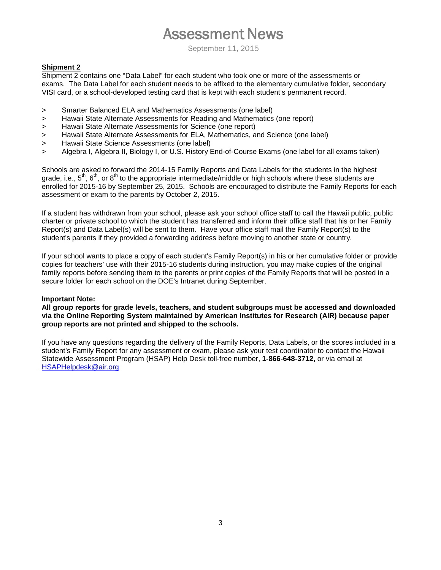# **Assessment News**<br>September 11, 2015

## **Shipment 2**

Shipment 2 contains one "Data Label" for each student who took one or more of the assessments or exams. The Data Label for each student needs to be affixed to the elementary cumulative folder, secondary VISI card, or a school-developed testing card that is kept with each student's permanent record.

- > Smarter Balanced ELA and Mathematics Assessments (one label)
- > Hawaii State Alternate Assessments for Reading and Mathematics (one report)
- > Hawaii State Alternate Assessments for Science (one report)
- > Hawaii State Alternate Assessments for ELA, Mathematics, and Science (one label)
- > Hawaii State Science Assessments (one label)
- > Algebra I, Algebra II, Biology I, or U.S. History End-of-Course Exams (one label for all exams taken)

Schools are asked to forward the 2014-15 Family Reports and Data Labels for the students in the highest grade, i.e.,  $5^{th}$ ,  $6^{th}$ , or  $8^{th}$  to the appropriate intermediate/middle or high schools where these students are enrolled for 2015-16 by September 25, 2015. Schools are encouraged to distribute the Family Reports for each assessment or exam to the parents by October 2, 2015.

If a student has withdrawn from your school, please ask your school office staff to call the Hawaii public, public charter or private school to which the student has transferred and inform their office staff that his or her Family Report(s) and Data Label(s) will be sent to them. Have your office staff mail the Family Report(s) to the student's parents if they provided a forwarding address before moving to another state or country.

If your school wants to place a copy of each student's Family Report(s) in his or her cumulative folder or provide copies for teachers' use with their 2015-16 students during instruction, you may make copies of the original family reports before sending them to the parents or print copies of the Family Reports that will be posted in a secure folder for each school on the DOE's Intranet during September.

#### **Important Note:**

**All group reports for grade levels, teachers, and student subgroups must be accessed and downloaded via the Online Reporting System maintained by American Institutes for Research (AIR) because paper group reports are not printed and shipped to the schools.**

If you have any questions regarding the delivery of the Family Reports, Data Labels, or the scores included in a student's Family Report for any assessment or exam, please ask your test coordinator to contact the Hawaii Statewide Assessment Program (HSAP) Help Desk toll-free number, **1-866-648-3712,** or via email at [HSAPHelpdesk@air.org](mailto:HSAPHelpdesk@air.org)